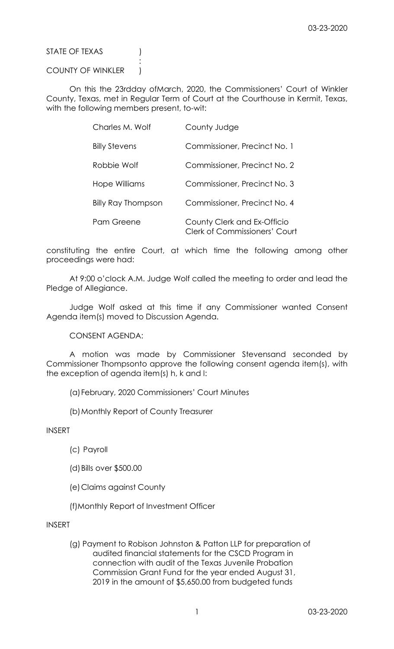STATE OF TEXAS (1)

## COUNTY OF WINKLER )

**Service State State State State** 

 On this the 23rdday ofMarch, 2020, the Commissioners' Court of Winkler County, Texas, met in Regular Term of Court at the Courthouse in Kermit, Texas, with the following members present, to-wit:

| Charles M. Wolf           | County Judge                                                        |
|---------------------------|---------------------------------------------------------------------|
| <b>Billy Stevens</b>      | Commissioner, Precinct No. 1                                        |
| Robbie Wolf               | Commissioner, Precinct No. 2                                        |
| Hope Williams             | Commissioner, Precinct No. 3                                        |
| <b>Billy Ray Thompson</b> | Commissioner, Precinct No. 4                                        |
| Pam Greene                | County Clerk and Ex-Officio<br><b>Clerk of Commissioners' Court</b> |

constituting the entire Court, at which time the following among other proceedings were had:

 At 9:00 o'clock A.M. Judge Wolf called the meeting to order and lead the Pledge of Allegiance.

 Judge Wolf asked at this time if any Commissioner wanted Consent Agenda item(s) moved to Discussion Agenda.

CONSENT AGENDA:

 A motion was made by Commissioner Stevensand seconded by Commissioner Thompsonto approve the following consent agenda item(s), with the exception of agenda item(s) h, k and l:

(a)February, 2020 Commissioners' Court Minutes

(b)Monthly Report of County Treasurer

INSERT

- (c) Payroll
- (d)Bills over \$500.00
- (e)Claims against County
- (f)Monthly Report of Investment Officer

INSERT

 (g) Payment to Robison Johnston & Patton LLP for preparation of audited financial statements for the CSCD Program in connection with audit of the Texas Juvenile Probation Commission Grant Fund for the year ended August 31, 2019 in the amount of \$5,650.00 from budgeted funds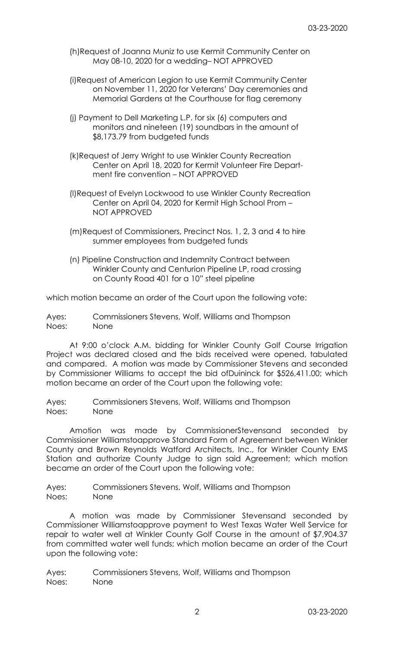- (h)Request of Joanna Muniz to use Kermit Community Center on May 08-10, 2020 for a wedding– NOT APPROVED
- (i)Request of American Legion to use Kermit Community Center on November 11, 2020 for Veterans' Day ceremonies and Memorial Gardens at the Courthouse for flag ceremony
- (j) Payment to Dell Marketing L.P. for six (6) computers and monitors and nineteen (19) soundbars in the amount of \$8,173.79 from budgeted funds
- (k)Request of Jerry Wright to use Winkler County Recreation Center on April 18, 2020 for Kermit Volunteer Fire Depart ment fire convention – NOT APPROVED
- (l)Request of Evelyn Lockwood to use Winkler County Recreation Center on April 04, 2020 for Kermit High School Prom – NOT APPROVED
- (m)Request of Commissioners, Precinct Nos. 1, 2, 3 and 4 to hire summer employees from budgeted funds
- (n) Pipeline Construction and Indemnity Contract between Winkler County and Centurion Pipeline LP, road crossing on County Road 401 for a 10" steel pipeline

which motion became an order of the Court upon the following vote:

Ayes: Commissioners Stevens, Wolf, Williams and Thompson Noes: None

 At 9:00 o'clock A.M. bidding for Winkler County Golf Course Irrigation Project was declared closed and the bids received were opened, tabulated and compared. A motion was made by Commissioner Stevens and seconded by Commissioner Williams to accept the bid ofDuininck for \$526,411.00; which motion became an order of the Court upon the following vote:

Ayes: Commissioners Stevens, Wolf, Williams and Thompson Noes: None

 Amotion was made by CommissionerStevensand seconded by Commissioner Williamstoapprove Standard Form of Agreement between Winkler County and Brown Reynolds Watford Architects, Inc., for Winkler County EMS Station and authorize County Judge to sign said Agreement; which motion became an order of the Court upon the following vote:

Ayes: Commissioners Stevens, Wolf, Williams and Thompson Noes: None

 A motion was made by Commissioner Stevensand seconded by Commissioner Williamstoapprove payment to West Texas Water Well Service for repair to water well at Winkler County Golf Course in the amount of \$7,904.37 from committed water well funds; which motion became an order of the Court upon the following vote:

Ayes: Commissioners Stevens, Wolf, Williams and Thompson Noes: None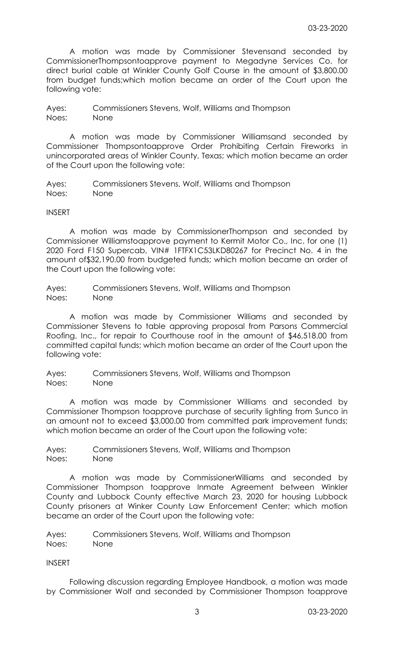A motion was made by Commissioner Stevensand seconded by CommissionerThompsontoapprove payment to Megadyne Services Co. for direct burial cable at Winkler County Golf Course in the amount of \$3,800.00 from budget funds;which motion became an order of the Court upon the following vote:

Ayes: Commissioners Stevens, Wolf, Williams and Thompson Noes: None

 A motion was made by Commissioner Williamsand seconded by Commissioner Thompsontoapprove Order Prohibiting Certain Fireworks in unincorporated areas of Winkler County, Texas; which motion became an order of the Court upon the following vote:

Ayes: Commissioners Stevens, Wolf, Williams and Thompson Noes: None

## INSERT

 A motion was made by CommissionerThompson and seconded by Commissioner Williamstoapprove payment to Kermit Motor Co., Inc. for one (1) 2020 Ford F150 Supercab, VIN# 1FTFX1C53LKD80267 for Precinct No. 4 in the amount of\$32,190.00 from budgeted funds; which motion became an order of the Court upon the following vote:

Ayes: Commissioners Stevens, Wolf, Williams and Thompson Noes: None

 A motion was made by Commissioner Williams and seconded by Commissioner Stevens to table approving proposal from Parsons Commercial Roofing, Inc., for repair to Courthouse roof in the amount of \$46,518.00 from committed capital funds; which motion became an order of the Court upon the following vote:

Ayes: Commissioners Stevens, Wolf, Williams and Thompson Noes: None

 A motion was made by Commissioner Williams and seconded by Commissioner Thompson toapprove purchase of security lighting from Sunco in an amount not to exceed \$3,000.00 from committed park improvement funds; which motion became an order of the Court upon the following vote:

Ayes: Commissioners Stevens, Wolf, Williams and Thompson Noes: None

 A motion was made by CommissionerWilliams and seconded by Commissioner Thompson toapprove Inmate Agreement between Winkler County and Lubbock County effective March 23, 2020 for housing Lubbock County prisoners at Winker County Law Enforcement Center; which motion became an order of the Court upon the following vote:

Ayes: Commissioners Stevens, Wolf, Williams and Thompson Noes: None

## INSERT

 Following discussion regarding Employee Handbook, a motion was made by Commissioner Wolf and seconded by Commissioner Thompson toapprove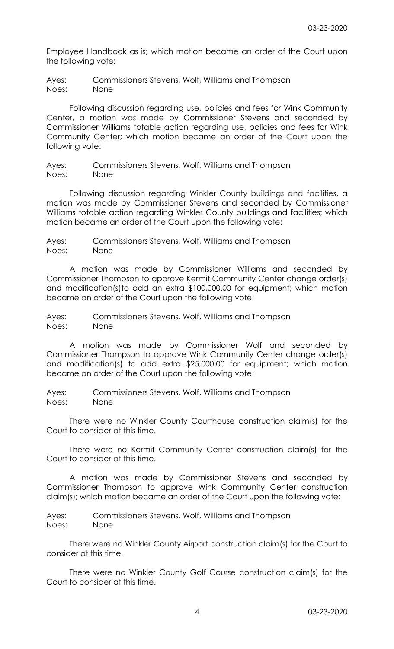Employee Handbook as is; which motion became an order of the Court upon the following vote:

Ayes: Commissioners Stevens, Wolf, Williams and Thompson Noes: None

 Following discussion regarding use, policies and fees for Wink Community Center, a motion was made by Commissioner Stevens and seconded by Commissioner Williams totable action regarding use, policies and fees for Wink Community Center; which motion became an order of the Court upon the following vote:

Ayes: Commissioners Stevens, Wolf, Williams and Thompson Noes: None

 Following discussion regarding Winkler County buildings and facilities, a motion was made by Commissioner Stevens and seconded by Commissioner Williams totable action regarding Winkler County buildings and facilities; which motion became an order of the Court upon the following vote:

Ayes: Commissioners Stevens, Wolf, Williams and Thompson Noes: None

 A motion was made by Commissioner Williams and seconded by Commissioner Thompson to approve Kermit Community Center change order(s) and modification(s)to add an extra \$100,000.00 for equipment; which motion became an order of the Court upon the following vote:

Ayes: Commissioners Stevens, Wolf, Williams and Thompson Noes: None

 A motion was made by Commissioner Wolf and seconded by Commissioner Thompson to approve Wink Community Center change order(s) and modification(s) to add extra \$25,000.00 for equipment; which motion became an order of the Court upon the following vote:

Ayes: Commissioners Stevens, Wolf, Williams and Thompson Noes: None

 There were no Winkler County Courthouse construction claim(s) for the Court to consider at this time.

 There were no Kermit Community Center construction claim(s) for the Court to consider at this time.

 A motion was made by Commissioner Stevens and seconded by Commissioner Thompson to approve Wink Community Center construction claim(s); which motion became an order of the Court upon the following vote:

Ayes: Commissioners Stevens, Wolf, Williams and Thompson Noes: None

 There were no Winkler County Airport construction claim(s) for the Court to consider at this time.

 There were no Winkler County Golf Course construction claim(s) for the Court to consider at this time.